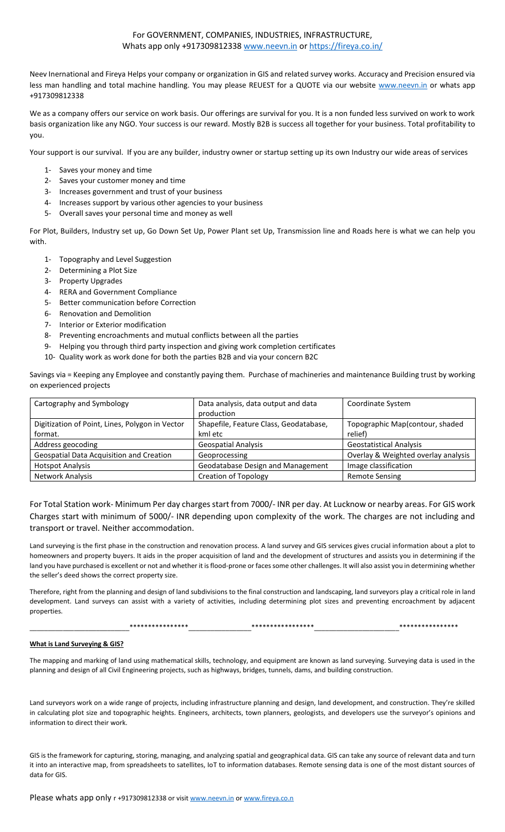# For GOVERNMENT, COMPANIES, INDUSTRIES, INFRASTRUCTURE, Whats app only +917309812338 [www.neevn.in](http://www.neevn.in/) or<https://fireya.co.in/>

Neev Inernational and Fireya Helps your company or organization in GIS and related survey works. Accuracy and Precision ensured via less man handling and total machine handling. You may please REUEST for a QUOTE via our website [www.neevn.in](http://www.neevn.in/) or whats app +917309812338

We as a company offers our service on work basis. Our offerings are survival for you. It is a non funded less survived on work to work basis organization like any NGO. Your success is our reward. Mostly B2B is success all together for your business. Total profitability to you.

Your support is our survival. If you are any builder, industry owner or startup setting up its own Industry our wide areas of services

- 1- Saves your money and time
- 2- Saves your customer money and time
- 3- Increases government and trust of your business
- 4- Increases support by various other agencies to your business
- 5- Overall saves your personal time and money as well

For Plot, Builders, Industry set up, Go Down Set Up, Power Plant set Up, Transmission line and Roads here is what we can help you with.

- 1- Topography and Level Suggestion
- 2- Determining a Plot Size
- 3- Property Upgrades
- 4- RERA and Government Compliance
- 5- Better communication before Correction
- 6- Renovation and Demolition
- 7- Interior or Exterior modification
- 8- Preventing encroachments and mutual conflicts between all the parties
- 9- Helping you through third party inspection and giving work completion certificates
- 10- Quality work as work done for both the parties B2B and via your concern B2C

Savings via = Keeping any Employee and constantly paying them. Purchase of machineries and maintenance Building trust by working on experienced projects

| Cartography and Symbology                       | Data analysis, data output and data<br>production | Coordinate System                   |
|-------------------------------------------------|---------------------------------------------------|-------------------------------------|
| Digitization of Point, Lines, Polygon in Vector | Shapefile, Feature Class, Geodatabase,            | Topographic Map(contour, shaded     |
| format.                                         | kml etc                                           | relief)                             |
| Address geocoding                               | <b>Geospatial Analysis</b>                        | <b>Geostatistical Analysis</b>      |
| Geospatial Data Acquisition and Creation        | Geoprocessing                                     | Overlay & Weighted overlay analysis |
| <b>Hotspot Analysis</b>                         | Geodatabase Design and Management                 | Image classification                |
| Network Analysis                                | <b>Creation of Topology</b>                       | <b>Remote Sensing</b>               |

For Total Station work- Minimum Per day charges start from 7000/- INR per day. At Lucknow or nearby areas. For GIS work Charges start with minimum of 5000/- INR depending upon complexity of the work. The charges are not including and transport or travel. Neither accommodation.

Land surveying is the first phase in the construction and renovation process. A land survey and GIS services gives crucial information about a plot to homeowners and property buyers. It aids in the proper acquisition of land and the development of structures and assists you in determining if the land you have purchased is excellent or not and whether it is flood-prone or faces some other challenges. It will also assist you in determining whether the seller's deed shows the correct property size.

Therefore, right from the planning and design of land subdivisions to the final construction and landscaping, land surveyors play a critical role in land development. Land surveys can assist with a variety of activities, including determining plot sizes and preventing encroachment by adjacent properties.

\_\_\_\_\_\_\_\_\_\_\_\_\_\_\_\_\_\_\_\_\_\_\_\_\_\_\_\*\*\*\*\*\*\*\*\*\*\*\*\*\*\*\*\_\_\_\_\_\_\_\_\_\_\_\_\_\_\_\_\_\*\*\*\*\*\*\*\*\*\*\*\*\*\*\*\*\*\_\_\_\_\_\_\_\_\_\_\_\_\_\_\_\_\_\_\_\_\_\_\_\*\*\*\*\*\*\*\*\*\*\*\*\*\*\*\*

#### **What is Land Surveying & GIS?**

The mapping and marking of land using mathematical skills, technology, and equipment are known as land surveying. Surveying data is used in the planning and design of all Civil Engineering projects, such as highways, bridges, tunnels, dams, and building construction.

Land surveyors work on a wide range of projects, including infrastructure planning and design, land development, and construction. They're skilled in calculating plot size and topographic heights. Engineers, architects, town planners, geologists, and developers use the surveyor's opinions and information to direct their work.

GIS is the framework for capturing, storing, managing, and analyzing spatial and geographical data. GIS can take any source of relevant data and turn it into an interactive map, from spreadsheets to satellites, IoT to information databases. Remote sensing data is one of the most distant sources of data for GIS.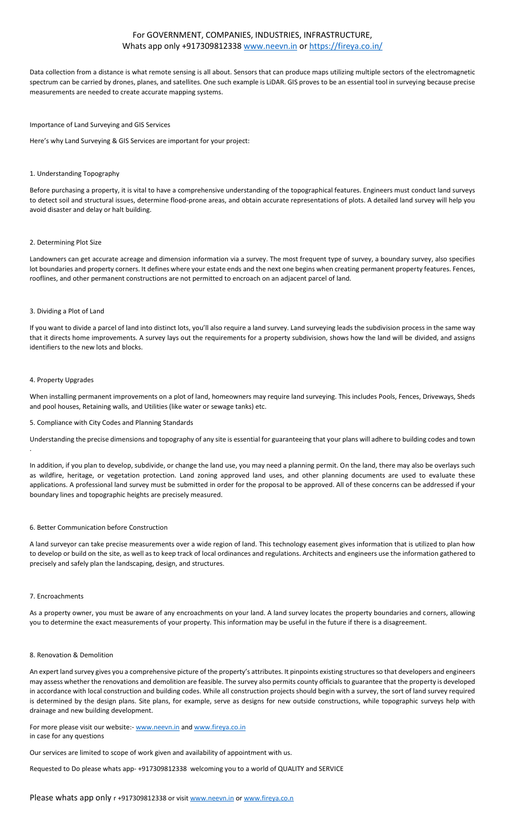## For GOVERNMENT, COMPANIES, INDUSTRIES, INFRASTRUCTURE, Whats app only +917309812338 [www.neevn.in](http://www.neevn.in/) or<https://fireya.co.in/>

Data collection from a distance is what remote sensing is all about. Sensors that can produce maps utilizing multiple sectors of the electromagnetic spectrum can be carried by drones, planes, and satellites. One such example is LiDAR. GIS proves to be an essential tool in surveying because precise measurements are needed to create accurate mapping systems.

## Importance of Land Surveying and GIS Services

Here's why Land Surveying & GIS Services are important for your project:

#### 1. Understanding Topography

Before purchasing a property, it is vital to have a comprehensive understanding of the topographical features. Engineers must conduct land surveys to detect soil and structural issues, determine flood-prone areas, and obtain accurate representations of plots. A detailed land survey will help you avoid disaster and delay or halt building.

#### 2. Determining Plot Size

Landowners can get accurate acreage and dimension information via a survey. The most frequent type of survey, a boundary survey, also specifies lot boundaries and property corners. It defines where your estate ends and the next one begins when creating permanent property features. Fences, rooflines, and other permanent constructions are not permitted to encroach on an adjacent parcel of land.

#### 3. Dividing a Plot of Land

If you want to divide a parcel of land into distinct lots, you'll also require a land survey. Land surveying leads the subdivision process in the same way that it directs home improvements. A survey lays out the requirements for a property subdivision, shows how the land will be divided, and assigns identifiers to the new lots and blocks.

#### 4. Property Upgrades

When installing permanent improvements on a plot of land, homeowners may require land surveying. This includes Pools, Fences, Driveways, Sheds and pool houses, Retaining walls, and Utilities (like water or sewage tanks) etc.

#### 5. Compliance with City Codes and Planning Standards

Understanding the precise dimensions and topography of any site is essential for guaranteeing that your plans will adhere to building codes and town .

In addition, if you plan to develop, subdivide, or change the land use, you may need a planning permit. On the land, there may also be overlays such as wildfire, heritage, or vegetation protection. Land zoning approved land uses, and other planning documents are used to evaluate these applications. A professional land survey must be submitted in order for the proposal to be approved. All of these concerns can be addressed if your boundary lines and topographic heights are precisely measured.

#### 6. Better Communication before Construction

A land surveyor can take precise measurements over a wide region of land. This technology easement gives information that is utilized to plan how to develop or build on the site, as well as to keep track of local ordinances and regulations. Architects and engineers use the information gathered to precisely and safely plan the landscaping, design, and structures.

#### 7. Encroachments

As a property owner, you must be aware of any encroachments on your land. A land survey locates the property boundaries and corners, allowing you to determine the exact measurements of your property. This information may be useful in the future if there is a disagreement.

#### 8. Renovation & Demolition

An expert land survey gives you a comprehensive picture of the property's attributes. It pinpoints existing structures so that developers and engineers may assess whether the renovations and demolition are feasible. The survey also permits county officials to guarantee that the property is developed in accordance with local construction and building codes. While all construction projects should begin with a survey, the sort of land survey required is determined by the design plans. Site plans, for example, serve as designs for new outside constructions, while topographic surveys help with drainage and new building development.

#### For more please visit our website:- [www.neevn.in](http://www.neevn.in/) an[d www.fireya.co.in](http://www.fireya.co.in/) in case for any questions

Our services are limited to scope of work given and availability of appointment with us.

Requested to Do please whats app- +917309812338 welcoming you to a world of QUALITY and SERVICE